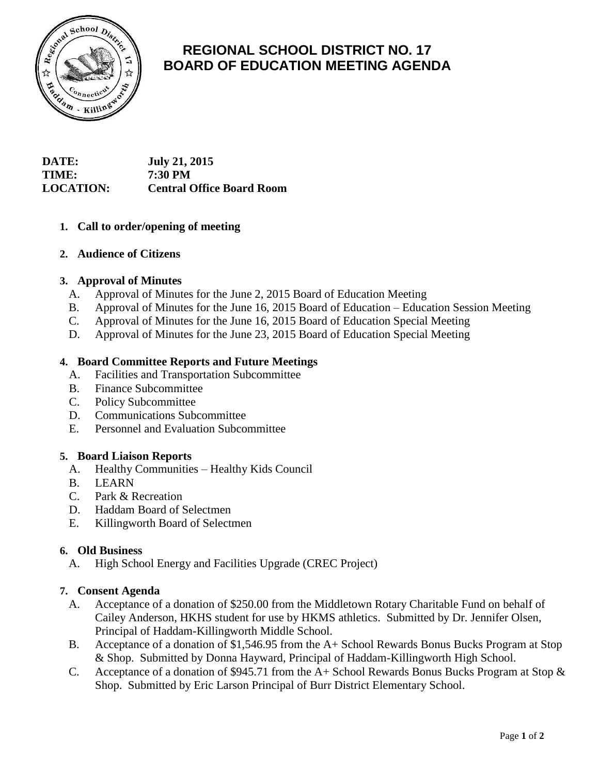

# **REGIONAL SCHOOL DISTRICT NO. 17 BOARD OF EDUCATION MEETING AGENDA**

# **DATE: July 21, 2015 TIME: 7:30 PM LOCATION: Central Office Board Room**

## **1. Call to order/opening of meeting**

## **2. Audience of Citizens**

## **3. Approval of Minutes**

- A. Approval of Minutes for the June 2, 2015 Board of Education Meeting
- B. Approval of Minutes for the June 16, 2015 Board of Education Education Session Meeting
- C. Approval of Minutes for the June 16, 2015 Board of Education Special Meeting
- D. Approval of Minutes for the June 23, 2015 Board of Education Special Meeting

## **4. Board Committee Reports and Future Meetings**

- A. Facilities and Transportation Subcommittee
- B. Finance Subcommittee
- C. Policy Subcommittee
- D. Communications Subcommittee
- E. Personnel and Evaluation Subcommittee

#### **5. Board Liaison Reports**

- A. Healthy Communities Healthy Kids Council
- B. LEARN
- C. Park & Recreation
- D. Haddam Board of Selectmen
- E. Killingworth Board of Selectmen

#### **6. Old Business**

A. High School Energy and Facilities Upgrade (CREC Project)

#### **7. Consent Agenda**

- A. Acceptance of a donation of \$250.00 from the Middletown Rotary Charitable Fund on behalf of Cailey Anderson, HKHS student for use by HKMS athletics. Submitted by Dr. Jennifer Olsen, Principal of Haddam-Killingworth Middle School.
- B. Acceptance of a donation of \$1,546.95 from the A+ School Rewards Bonus Bucks Program at Stop & Shop. Submitted by Donna Hayward, Principal of Haddam-Killingworth High School.
- C. Acceptance of a donation of \$945.71 from the A+ School Rewards Bonus Bucks Program at Stop & Shop. Submitted by Eric Larson Principal of Burr District Elementary School.